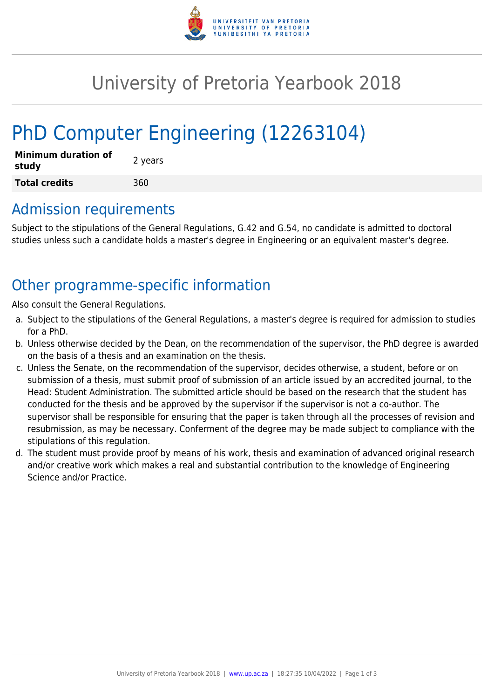

## University of Pretoria Yearbook 2018

# PhD Computer Engineering (12263104)

| <b>Minimum duration of</b><br>study | 2 years |
|-------------------------------------|---------|
| <b>Total credits</b>                | 360     |

### Admission requirements

Subject to the stipulations of the General Regulations, G.42 and G.54, no candidate is admitted to doctoral studies unless such a candidate holds a master's degree in Engineering or an equivalent master's degree.

## Other programme-specific information

Also consult the General Regulations.

- a. Subject to the stipulations of the General Regulations, a master's degree is required for admission to studies for a PhD.
- b. Unless otherwise decided by the Dean, on the recommendation of the supervisor, the PhD degree is awarded on the basis of a thesis and an examination on the thesis.
- c. Unless the Senate, on the recommendation of the supervisor, decides otherwise, a student, before or on submission of a thesis, must submit proof of submission of an article issued by an accredited journal, to the Head: Student Administration. The submitted article should be based on the research that the student has conducted for the thesis and be approved by the supervisor if the supervisor is not a co-author. The supervisor shall be responsible for ensuring that the paper is taken through all the processes of revision and resubmission, as may be necessary. Conferment of the degree may be made subject to compliance with the stipulations of this regulation.
- d. The student must provide proof by means of his work, thesis and examination of advanced original research and/or creative work which makes a real and substantial contribution to the knowledge of Engineering Science and/or Practice.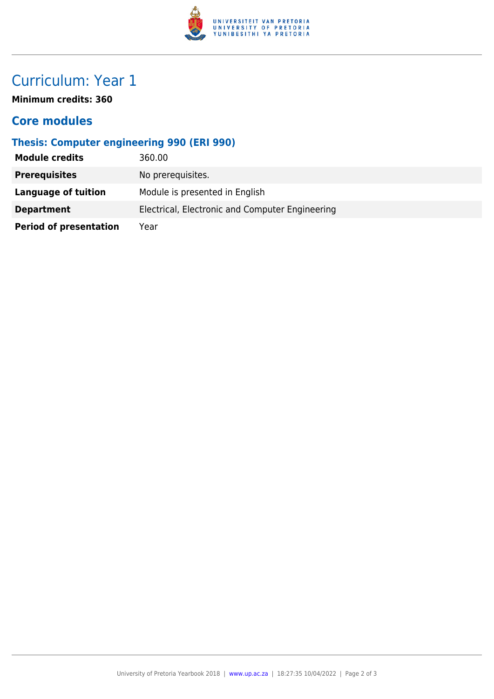

## Curriculum: Year 1

**Minimum credits: 360**

#### **Core modules**

#### **Thesis: Computer engineering 990 (ERI 990)**

| <b>Module credits</b>         | 360.00                                          |
|-------------------------------|-------------------------------------------------|
| <b>Prerequisites</b>          | No prerequisites.                               |
| Language of tuition           | Module is presented in English                  |
| <b>Department</b>             | Electrical, Electronic and Computer Engineering |
| <b>Period of presentation</b> | Year                                            |